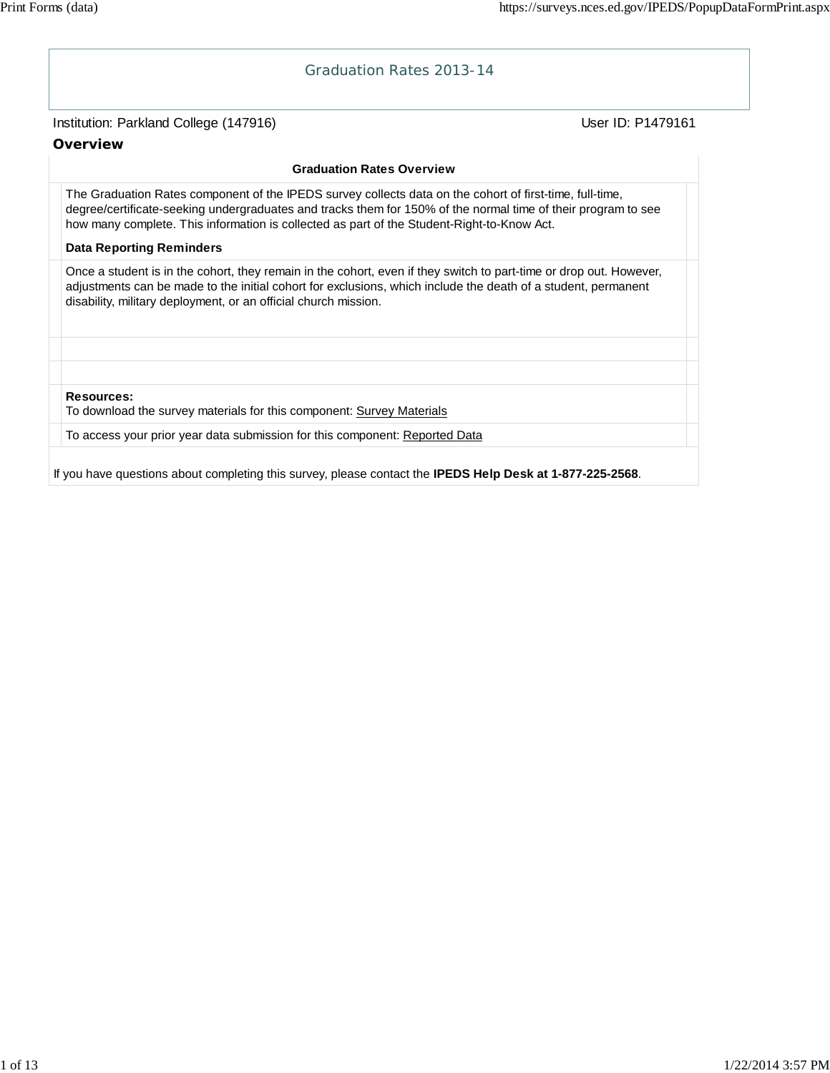# Institution: Parkland College (147916) Noted that the User ID: P1479161 Graduation Rates 2013-14 **Overview Graduation Rates Overview** The Graduation Rates component of the IPEDS survey collects data on the cohort of first-time, full-time, degree/certificate-seeking undergraduates and tracks them for 150% of the normal time of their program to see how many complete. This information is collected as part of the Student-Right-to-Know Act. **Data Reporting Reminders** Once a student is in the cohort, they remain in the cohort, even if they switch to part-time or drop out. However, adjustments can be made to the initial cohort for exclusions, which include the death of a student, permanent disability, military deployment, or an official church mission. **Resources:** To download the survey materials for this component: Survey Materials To access your prior year data submission for this component: Reported Data If you have questions about completing this survey, please contact the **IPEDS Help Desk at 1-877-225-2568**.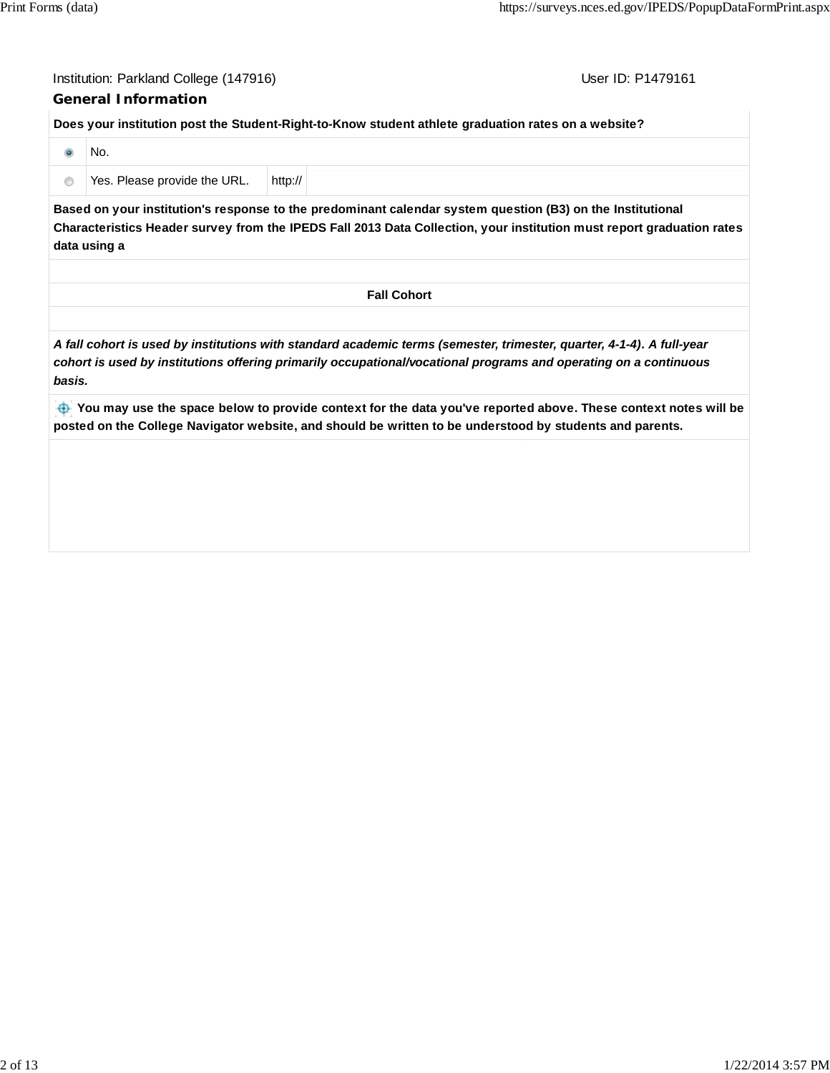User ID: P1479161

#### **General Information**

**Does your institution post the Student-Right-to-Know student athlete graduation rates on a website?**

| No.                          |         |
|------------------------------|---------|
| Yes. Please provide the URL. | http:// |

**Based on your institution's response to the predominant calendar system question (B3) on the Institutional Characteristics Header survey from the IPEDS Fall 2013 Data Collection, your institution must report graduation rates data using a**

*A fall cohort is used by institutions with standard academic terms (semester, trimester, quarter, 4-1-4). A full-year cohort is used by institutions offering primarily occupational/vocational programs and operating on a continuous basis.*

 **You may use the space below to provide context for the data you've reported above. These context notes will be posted on the College Navigator website, and should be written to be understood by students and parents.**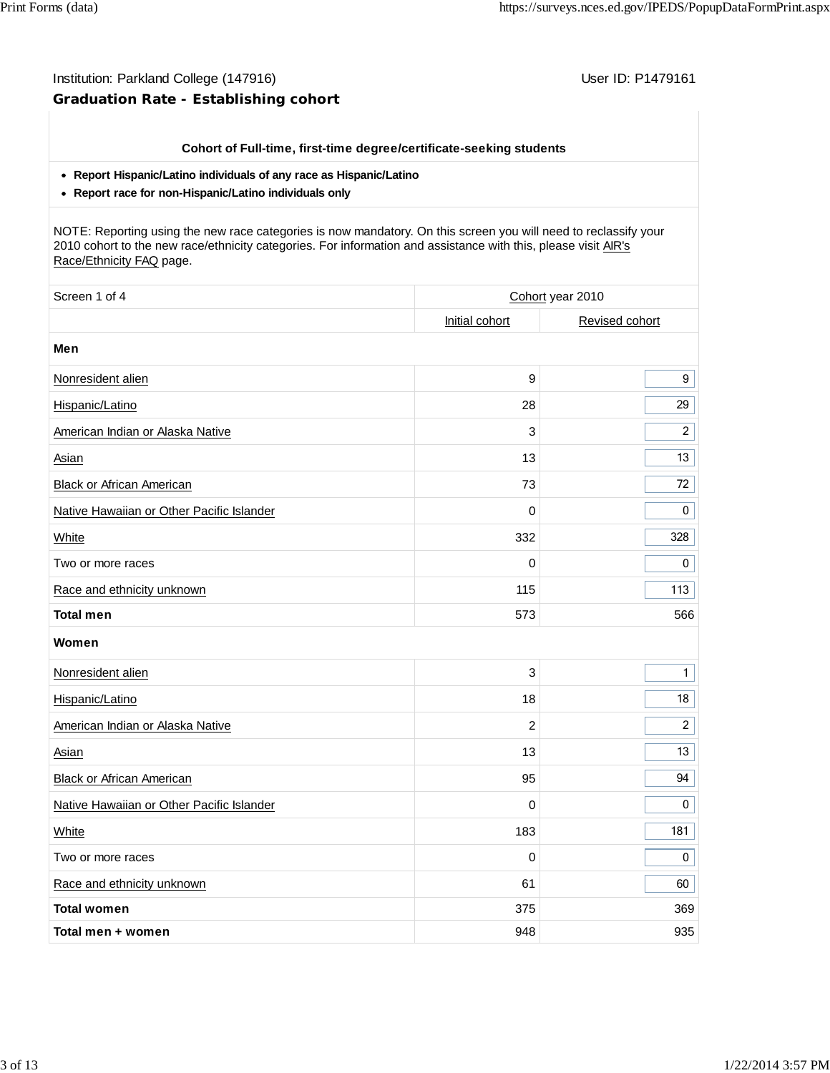# Institution: Parkland College (147916) **Institution: Parkland College (147916)** Conservation: P1479161 **Graduation Rate - Establishing cohort**

| Cohort of Full-time, first-time degree/certificate-seeking students                                                                                                                                                                                           |                |                         |
|---------------------------------------------------------------------------------------------------------------------------------------------------------------------------------------------------------------------------------------------------------------|----------------|-------------------------|
| • Report Hispanic/Latino individuals of any race as Hispanic/Latino                                                                                                                                                                                           |                |                         |
| Report race for non-Hispanic/Latino individuals only<br>$\bullet$                                                                                                                                                                                             |                |                         |
| NOTE: Reporting using the new race categories is now mandatory. On this screen you will need to reclassify your<br>2010 cohort to the new race/ethnicity categories. For information and assistance with this, please visit AIR's<br>Race/Ethnicity FAQ page. |                |                         |
| Screen 1 of 4                                                                                                                                                                                                                                                 |                | Cohort year 2010        |
|                                                                                                                                                                                                                                                               | Initial cohort | Revised cohort          |
| Men                                                                                                                                                                                                                                                           |                |                         |
| Nonresident alien                                                                                                                                                                                                                                             | 9              | 9                       |
| Hispanic/Latino                                                                                                                                                                                                                                               | 28             | 29                      |
| American Indian or Alaska Native                                                                                                                                                                                                                              | 3              | $\overline{c}$          |
| Asian                                                                                                                                                                                                                                                         | 13             | 13                      |
| <b>Black or African American</b>                                                                                                                                                                                                                              | 73             | 72                      |
| Native Hawaiian or Other Pacific Islander                                                                                                                                                                                                                     | 0              | 0                       |
| White                                                                                                                                                                                                                                                         | 332            | 328                     |
| Two or more races                                                                                                                                                                                                                                             | 0              | 0                       |
| Race and ethnicity unknown                                                                                                                                                                                                                                    | 115            | 113                     |
| <b>Total men</b>                                                                                                                                                                                                                                              | 573            | 566                     |
| Women                                                                                                                                                                                                                                                         |                |                         |
| Nonresident alien                                                                                                                                                                                                                                             | 3              | 1                       |
| Hispanic/Latino                                                                                                                                                                                                                                               | 18             | 18                      |
| American Indian or Alaska Native                                                                                                                                                                                                                              | 2              | $\overline{\mathbf{c}}$ |
| Asian                                                                                                                                                                                                                                                         | 13             | 13                      |
| <b>Black or African American</b>                                                                                                                                                                                                                              | 95             | 94                      |
| Native Hawaiian or Other Pacific Islander                                                                                                                                                                                                                     | 0              | 0                       |
| <b>White</b>                                                                                                                                                                                                                                                  | 183            | 181                     |
| Two or more races                                                                                                                                                                                                                                             | 0              | $\pmb{0}$               |
| Race and ethnicity unknown                                                                                                                                                                                                                                    | 61             | 60                      |
| <b>Total women</b>                                                                                                                                                                                                                                            | 375            | 369                     |
| Total men + women                                                                                                                                                                                                                                             | 948            | 935                     |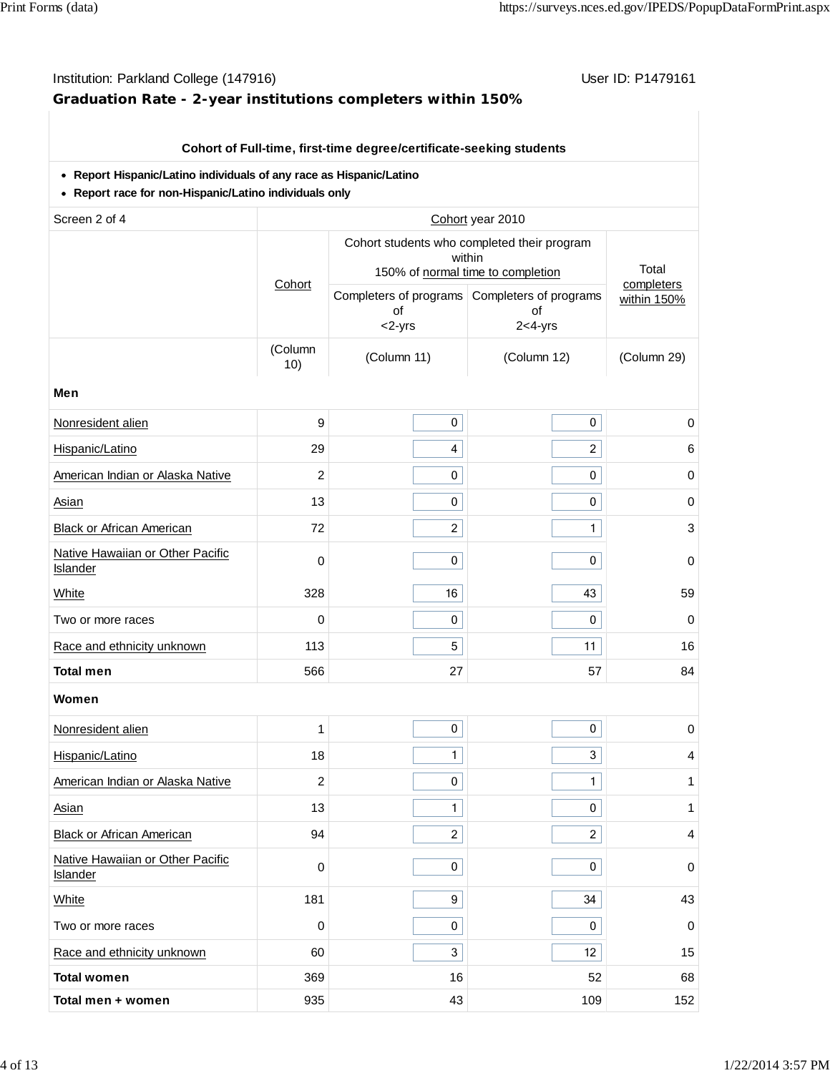# Institution: Parkland College (147916) **Institution: Parkland College (147916**)

# **Graduation Rate - 2-year institutions completers within 150%**

# **Cohort of Full-time, first-time degree/certificate-seeking students**

### **Report Hispanic/Latino individuals of any race as Hispanic/Latino**

**Report race for non-Hispanic/Latino individuals only**

| Screen 2 of 4                                       | Cohort year 2010 |                 |                                                                                            |                                    |  |  |  |
|-----------------------------------------------------|------------------|-----------------|--------------------------------------------------------------------------------------------|------------------------------------|--|--|--|
|                                                     |                  |                 | Cohort students who completed their program<br>within<br>150% of normal time to completion | Total<br>completers<br>within 150% |  |  |  |
|                                                     | Cohort           | of<br>$<$ 2-yrs | Completers of programs Completers of programs<br>of<br>$2<4$ -yrs                          |                                    |  |  |  |
|                                                     | (Column<br>10)   | (Column 11)     | (Column 12)                                                                                | (Column 29)                        |  |  |  |
| Men                                                 |                  |                 |                                                                                            |                                    |  |  |  |
| Nonresident alien                                   | 9                | $\pmb{0}$       | $\pmb{0}$                                                                                  | $\mathbf 0$                        |  |  |  |
| Hispanic/Latino                                     | 29               | 4               | $\overline{c}$                                                                             | 6                                  |  |  |  |
| American Indian or Alaska Native                    | 2                | 0               | $\pmb{0}$                                                                                  | 0                                  |  |  |  |
| <b>Asian</b>                                        | 13               | 0               | 0                                                                                          | $\mathbf 0$                        |  |  |  |
| <b>Black or African American</b>                    | 72               | $\overline{c}$  | $\mathbf{1}$                                                                               | $\ensuremath{\mathsf{3}}$          |  |  |  |
| Native Hawaiian or Other Pacific<br>Islander        | 0                | $\pmb{0}$       | $\pmb{0}$                                                                                  | $\mathbf 0$                        |  |  |  |
| <b>White</b>                                        | 328              | 16              | 43                                                                                         | 59                                 |  |  |  |
| Two or more races                                   | 0                | 0               | 0                                                                                          | $\mathbf 0$                        |  |  |  |
| Race and ethnicity unknown                          | 113              | 5               | 11                                                                                         | 16                                 |  |  |  |
| <b>Total men</b>                                    | 566              | 27              | 57                                                                                         | 84                                 |  |  |  |
| Women                                               |                  |                 |                                                                                            |                                    |  |  |  |
| Nonresident alien                                   | 1                | 0               | 0                                                                                          | 0                                  |  |  |  |
| Hispanic/Latino                                     | 18               | $\mathbf{1}$    | 3                                                                                          | 4                                  |  |  |  |
| American Indian or Alaska Native                    | 2                | 0               | $\mathbf{1}$                                                                               | 1                                  |  |  |  |
| Asian                                               | 13               | 1               | 0                                                                                          | 1.                                 |  |  |  |
| <b>Black or African American</b>                    | 94               | $\overline{a}$  | 2                                                                                          | 4                                  |  |  |  |
| Native Hawaiian or Other Pacific<br><b>Islander</b> | 0                | 0               | 0                                                                                          | 0                                  |  |  |  |
| White                                               | 181              | 9               | 34                                                                                         | 43                                 |  |  |  |
| Two or more races                                   | 0                | 0               | 0                                                                                          | 0                                  |  |  |  |
| Race and ethnicity unknown                          | 60               | 3               | 12                                                                                         | 15                                 |  |  |  |
| <b>Total women</b>                                  | 369              | 16              | 52                                                                                         | 68                                 |  |  |  |
| Total men + women                                   | 935              | 43              | 109                                                                                        | 152                                |  |  |  |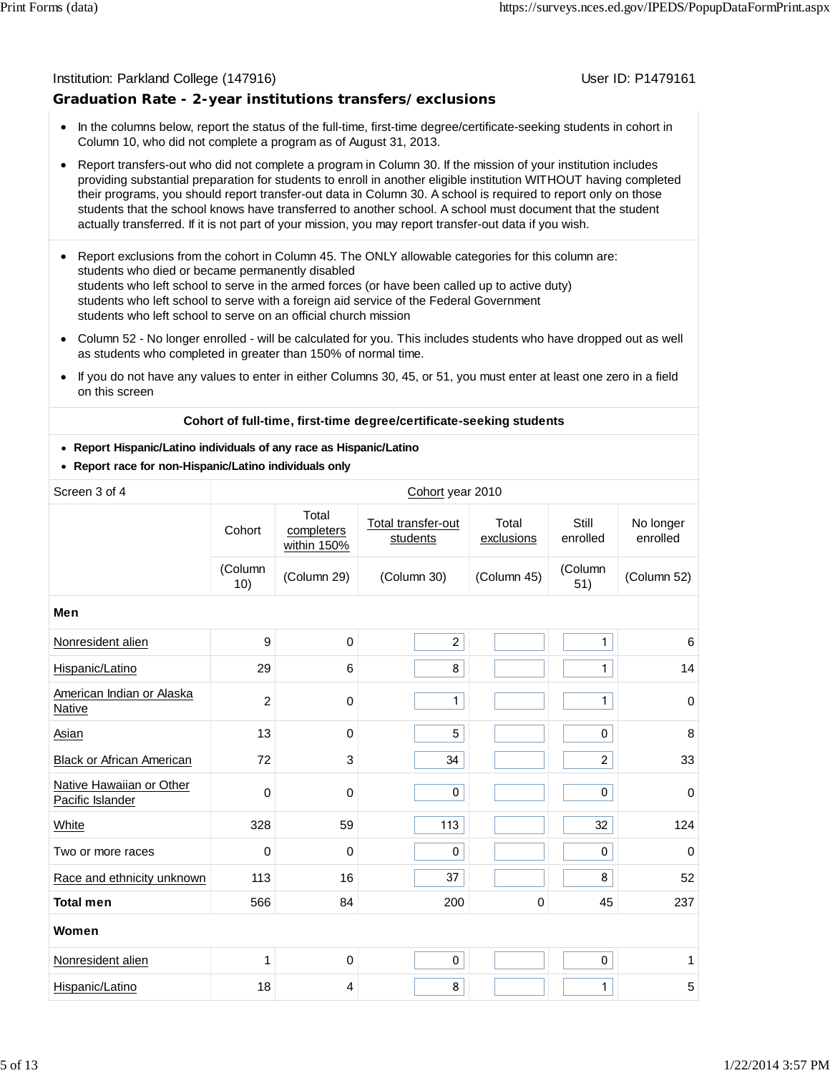#### Institution: Parkland College (147916) November 2012 12: Physics User ID: P1479161

### **Graduation Rate - 2-year institutions transfers/exclusions**

- In the columns below, report the status of the full-time, first-time degree/certificate-seeking students in cohort in Column 10, who did not complete a program as of August 31, 2013.
- Report transfers-out who did not complete a program in Column 30. If the mission of your institution includes providing substantial preparation for students to enroll in another eligible institution WITHOUT having completed their programs, you should report transfer-out data in Column 30. A school is required to report only on those students that the school knows have transferred to another school. A school must document that the student actually transferred. If it is not part of your mission, you may report transfer-out data if you wish.
- Report exclusions from the cohort in Column 45. The ONLY allowable categories for this column are:  $\bullet$ students who died or became permanently disabled students who left school to serve in the armed forces (or have been called up to active duty) students who left school to serve with a foreign aid service of the Federal Government students who left school to serve on an official church mission
- Column 52 No longer enrolled will be calculated for you. This includes students who have dropped out as well  $\bullet$ as students who completed in greater than 150% of normal time.
- If you do not have any values to enter in either Columns 30, 45, or 51, you must enter at least one zero in a field  $\bullet$ on this screen

#### **Cohort of full-time, first-time degree/certificate-seeking students**

#### **Report Hispanic/Latino individuals of any race as Hispanic/Latino**

**Report race for non-Hispanic/Latino individuals only**

| Screen 3 of 4                                |                | Cohort year 2010<br>Total<br>Still<br>Total transfer-out<br>Total<br>completers<br>students<br>enrolled<br>exclusions<br>within 150%<br>(Column<br>(Column 29)<br>(Column 45)<br>(Column 30)<br>51)<br>$\overline{c}$<br>$\mathbf{1}$<br>0<br>8<br>$\mathbf{1}$<br>6<br>$\mathbf{1}$<br>$\mathbf{1}$<br>0<br>5<br>0<br>$\mathbf 0$<br>$\overline{2}$<br>3<br>34<br>$\mathbf 0$<br>$\mathbf 0$<br>0<br>32<br>113<br>59<br>$\mathbf 0$<br>0<br>0<br>8<br>37<br>16<br>84<br>200<br>0<br>45 |   |              |                       |
|----------------------------------------------|----------------|-----------------------------------------------------------------------------------------------------------------------------------------------------------------------------------------------------------------------------------------------------------------------------------------------------------------------------------------------------------------------------------------------------------------------------------------------------------------------------------------|---|--------------|-----------------------|
|                                              | Cohort         |                                                                                                                                                                                                                                                                                                                                                                                                                                                                                         |   |              | No longer<br>enrolled |
|                                              | (Column<br>10) |                                                                                                                                                                                                                                                                                                                                                                                                                                                                                         |   |              | (Column 52)           |
| Men                                          |                |                                                                                                                                                                                                                                                                                                                                                                                                                                                                                         |   |              |                       |
| Nonresident alien                            | 9              |                                                                                                                                                                                                                                                                                                                                                                                                                                                                                         |   |              | 6                     |
| Hispanic/Latino                              | 29             |                                                                                                                                                                                                                                                                                                                                                                                                                                                                                         |   |              | 14                    |
| American Indian or Alaska<br>Native          | $\overline{c}$ |                                                                                                                                                                                                                                                                                                                                                                                                                                                                                         |   |              | $\mathbf 0$           |
| Asian                                        | 13             |                                                                                                                                                                                                                                                                                                                                                                                                                                                                                         |   |              | 8                     |
| <b>Black or African American</b>             | 72             |                                                                                                                                                                                                                                                                                                                                                                                                                                                                                         |   |              | 33                    |
| Native Hawaiian or Other<br>Pacific Islander | $\mathbf 0$    |                                                                                                                                                                                                                                                                                                                                                                                                                                                                                         |   |              | $\Omega$              |
| White                                        | 328            |                                                                                                                                                                                                                                                                                                                                                                                                                                                                                         |   |              | 124                   |
| Two or more races                            | $\mathbf 0$    |                                                                                                                                                                                                                                                                                                                                                                                                                                                                                         |   |              | $\mathbf 0$           |
| Race and ethnicity unknown                   | 113            |                                                                                                                                                                                                                                                                                                                                                                                                                                                                                         |   |              | 52                    |
| <b>Total men</b>                             | 566            |                                                                                                                                                                                                                                                                                                                                                                                                                                                                                         |   |              | 237                   |
| Women                                        |                |                                                                                                                                                                                                                                                                                                                                                                                                                                                                                         |   |              |                       |
| Nonresident alien                            | 1              | $\pmb{0}$                                                                                                                                                                                                                                                                                                                                                                                                                                                                               | 0 | $\mathbf 0$  | 1                     |
| Hispanic/Latino                              | 18             | 4                                                                                                                                                                                                                                                                                                                                                                                                                                                                                       | 8 | $\mathbf{1}$ | 5                     |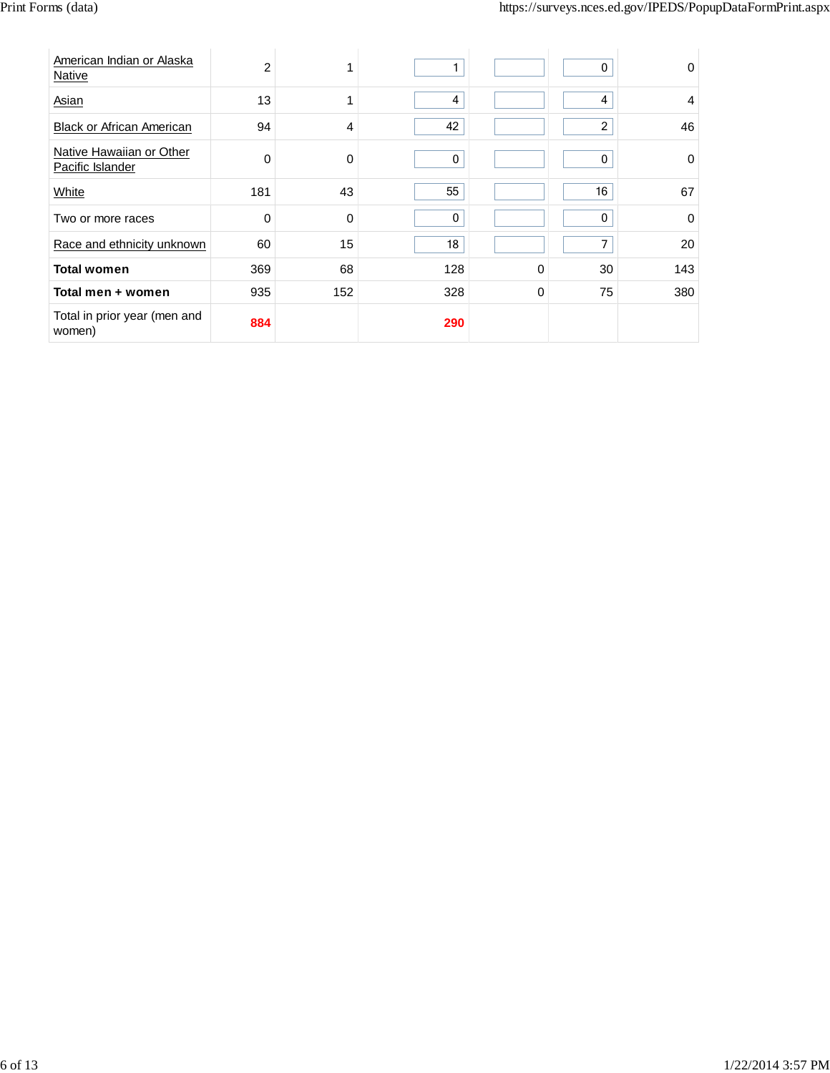| American Indian or Alaska<br>Native          | $\overline{2}$ | 4   |     |             | $\mathbf{0}$   | $\Omega$       |
|----------------------------------------------|----------------|-----|-----|-------------|----------------|----------------|
| <b>Asian</b>                                 | 13             | 1   | 4   |             | 4              | $\overline{4}$ |
| <b>Black or African American</b>             | 94             | 4   | 42  |             | $\overline{c}$ | 46             |
| Native Hawaiian or Other<br>Pacific Islander | 0              | 0   | 0   |             | 0              | 0              |
| White                                        | 181            | 43  | 55  |             | 16             | 67             |
| Two or more races                            | 0              | 0   | 0   |             | 0              | $\mathbf 0$    |
| Race and ethnicity unknown                   | 60             | 15  | 18  |             | 7              | 20             |
| <b>Total women</b>                           | 369            | 68  | 128 | $\mathbf 0$ | 30             | 143            |
| Total men + women                            | 935            | 152 | 328 | $\mathbf 0$ | 75             | 380            |
| Total in prior year (men and<br>women)       | 884            |     | 290 |             |                |                |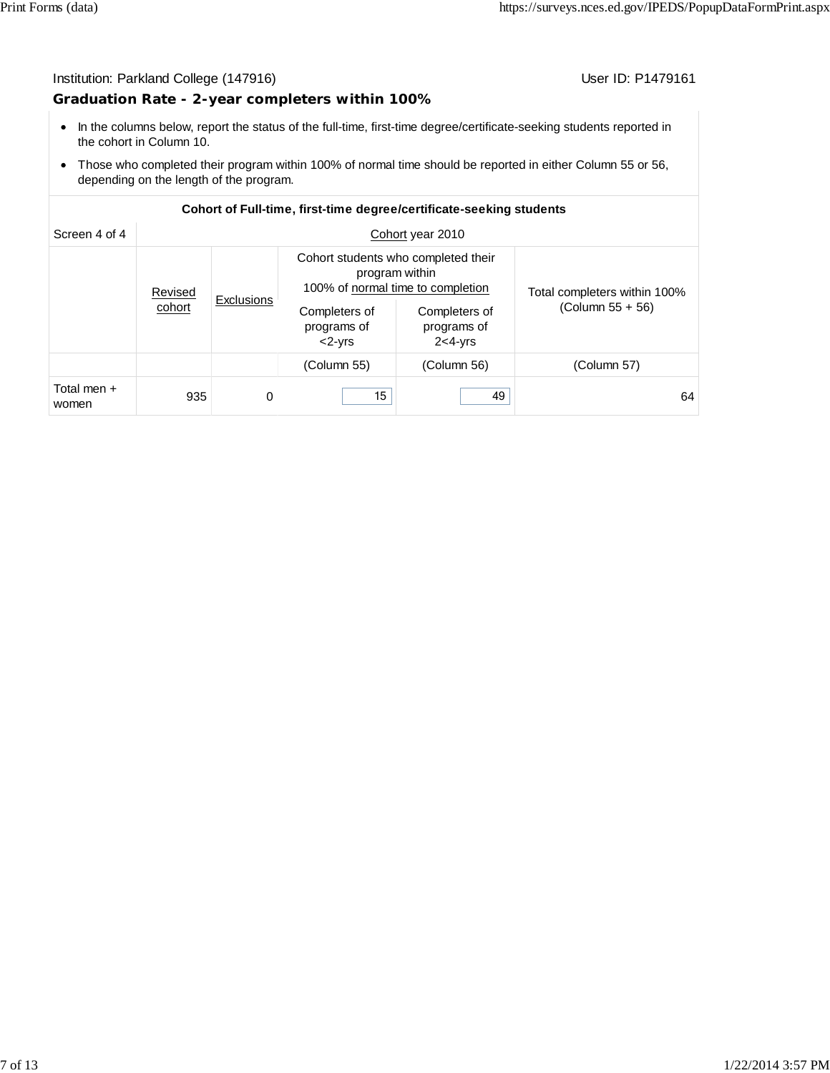#### Institution: Parkland College (147916) Contract College (147916)

#### **Graduation Rate - 2-year completers within 100%**

- In the columns below, report the status of the full-time, first-time degree/certificate-seeking students reported in the cohort in Column 10.
- Those who completed their program within 100% of normal time should be reported in either Column 55 or 56, depending on the length of the program.

#### **Cohort of Full-time, first-time degree/certificate-seeking students**

| Screen 4 of 4        |         |                   |                                                                                            | Cohort year 2010                           |                              |
|----------------------|---------|-------------------|--------------------------------------------------------------------------------------------|--------------------------------------------|------------------------------|
|                      | Revised |                   | Cohort students who completed their<br>program within<br>100% of normal time to completion |                                            | Total completers within 100% |
|                      | cohort  | <b>Exclusions</b> | Completers of<br>programs of<br>$<$ 2- $Vrs$                                               | Completers of<br>programs of<br>$2<4$ -yrs | $(Column 55 + 56)$           |
|                      |         |                   | (Column 55)                                                                                | (Column 56)                                | (Column 57)                  |
| Total men +<br>women | 935     | 0                 | 15                                                                                         | 49                                         | 64                           |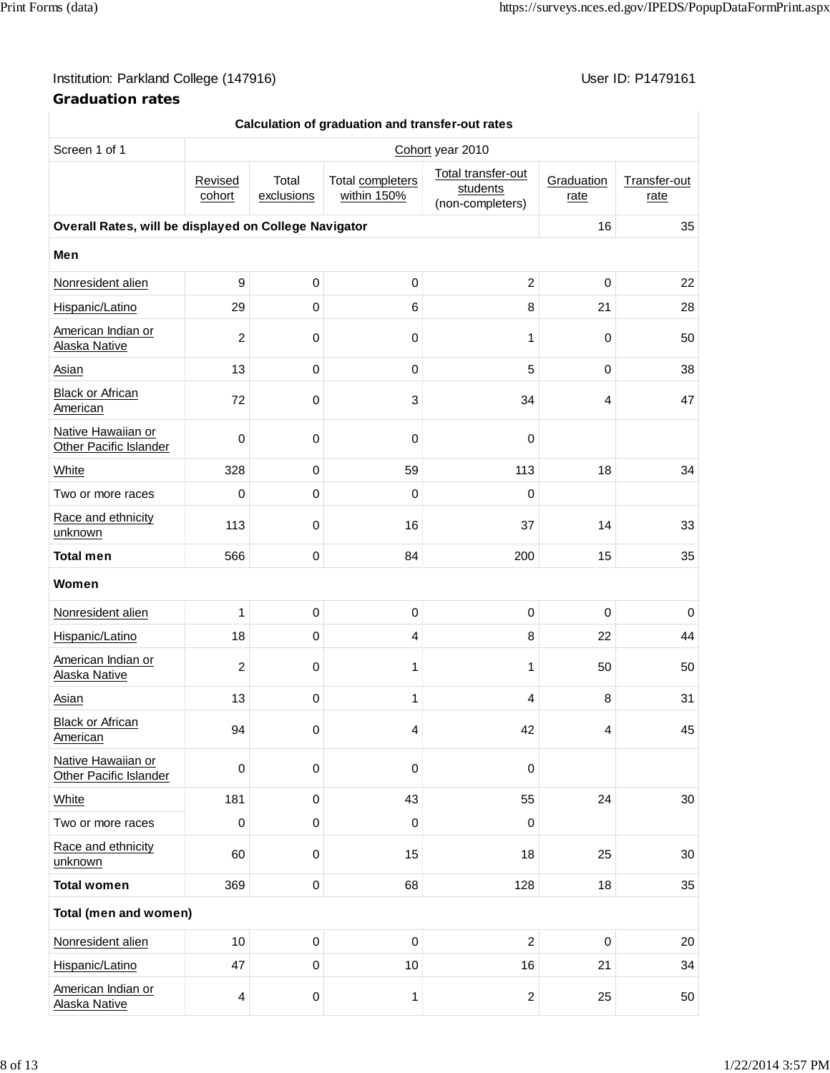I

# Institution: Parkland College (147916) **User ID: P1479161** User ID: P1479161

| Calculation of graduation and transfer-out rates      |                   |                     |                                 |                                                    |                    |                      |  |  |  |
|-------------------------------------------------------|-------------------|---------------------|---------------------------------|----------------------------------------------------|--------------------|----------------------|--|--|--|
| Screen 1 of 1                                         |                   |                     |                                 | Cohort year 2010                                   |                    |                      |  |  |  |
|                                                       | Revised<br>cohort | Total<br>exclusions | Total completers<br>within 150% | Total transfer-out<br>students<br>(non-completers) | Graduation<br>rate | Transfer-out<br>rate |  |  |  |
| Overall Rates, will be displayed on College Navigator |                   |                     |                                 |                                                    | 16                 | 35                   |  |  |  |
| Men                                                   |                   |                     |                                 |                                                    |                    |                      |  |  |  |
| Nonresident alien                                     | $\boldsymbol{9}$  | $\mathbf 0$         | $\mathbf 0$                     | $\overline{c}$                                     | $\mathbf 0$        | 22                   |  |  |  |
| Hispanic/Latino                                       | 29                | $\mathbf 0$         | $\,6\,$                         | 8                                                  | 21                 | 28                   |  |  |  |
| American Indian or<br>Alaska Native                   | $\boldsymbol{2}$  | 0                   | $\pmb{0}$                       | 1                                                  | 0                  | 50                   |  |  |  |
| Asian                                                 | 13                | 0                   | $\boldsymbol{0}$                | 5                                                  | $\pmb{0}$          | 38                   |  |  |  |
| <b>Black or African</b><br>American                   | 72                | 0                   | 3                               | 34                                                 | 4                  | 47                   |  |  |  |
| Native Hawaiian or<br><b>Other Pacific Islander</b>   | 0                 | 0                   | $\mathbf 0$                     | $\mathbf 0$                                        |                    |                      |  |  |  |
| White                                                 | 328               | $\pmb{0}$           | 59                              | 113                                                | 18                 | 34                   |  |  |  |
| Two or more races                                     | 0                 | 0                   | $\mathbf 0$                     | $\pmb{0}$                                          |                    |                      |  |  |  |
| Race and ethnicity<br>unknown                         | 113               | 0                   | 16                              | 37                                                 | 14                 | 33                   |  |  |  |
| <b>Total men</b>                                      | 566               | $\pmb{0}$           | 84                              | 200                                                | 15                 | 35                   |  |  |  |
| Women                                                 |                   |                     |                                 |                                                    |                    |                      |  |  |  |
| Nonresident alien                                     | 1                 | 0                   | $\mathbf 0$                     | $\pmb{0}$                                          | $\mathbf 0$        | $\mathbf 0$          |  |  |  |
| Hispanic/Latino                                       | 18                | $\mathbf 0$         | $\overline{\mathbf{4}}$         | 8                                                  | 22                 | 44                   |  |  |  |
| American Indian or<br>Alaska Native                   | $\overline{c}$    | 0                   | 1                               | 1                                                  | 50                 | 50                   |  |  |  |
| Asian                                                 | 13                | 0                   | 1                               | $\overline{4}$                                     | 8                  | 31                   |  |  |  |
| <b>Black or African</b><br>American                   | 94                | $\pmb{0}$           | 4                               | 42                                                 | 4                  | 45                   |  |  |  |
| Native Hawaiian or<br><b>Other Pacific Islander</b>   | $\mathsf 0$       | 0                   | $\mathbf 0$                     | $\pmb{0}$                                          |                    |                      |  |  |  |
| White                                                 | 181               | $\pmb{0}$           | 43                              | 55                                                 | 24                 | 30                   |  |  |  |
| Two or more races                                     | 0                 | $\pmb{0}$           | $\mathbf 0$                     | $\mathbf 0$                                        |                    |                      |  |  |  |
| Race and ethnicity<br>unknown                         | 60                | $\pmb{0}$           | 15                              | 18                                                 | 25                 | 30                   |  |  |  |
| <b>Total women</b>                                    | 369               | $\pmb{0}$           | 68                              | 128                                                | 18                 | 35                   |  |  |  |
| <b>Total (men and women)</b>                          |                   |                     |                                 |                                                    |                    |                      |  |  |  |
| Nonresident alien                                     | 10 <sup>1</sup>   | $\pmb{0}$           | $\pmb{0}$                       | $\overline{c}$                                     | $\pmb{0}$          | 20                   |  |  |  |
| Hispanic/Latino                                       | 47                | $\pmb{0}$           | 10                              | 16                                                 | 21                 | 34                   |  |  |  |
| American Indian or<br>Alaska Native                   | 4                 | 0                   | 1                               | $\overline{c}$                                     | 25                 | 50                   |  |  |  |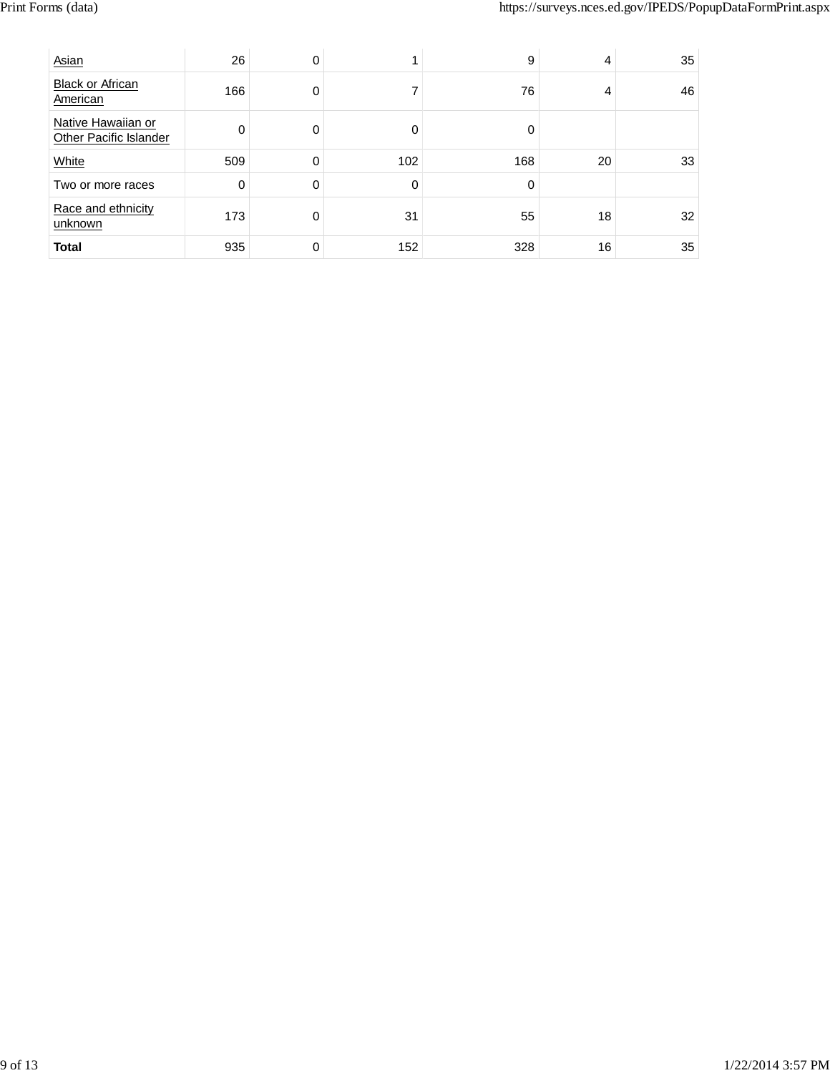| Asian                                        | 26  | 0        |     | 9   | 4  | 35 |
|----------------------------------------------|-----|----------|-----|-----|----|----|
| <b>Black or African</b><br>American          | 166 | 0        | 7   | 76  | 4  | 46 |
| Native Hawaiian or<br>Other Pacific Islander | 0   | 0        | 0   |     |    |    |
| White                                        | 509 | $\Omega$ | 102 | 168 | 20 | 33 |
| Two or more races                            | 0   | 0        | 0   |     |    |    |
| Race and ethnicity<br>unknown                | 173 | 0        | 31  | 55  | 18 | 32 |
| <b>Total</b>                                 | 935 | 0        | 152 | 328 | 16 | 35 |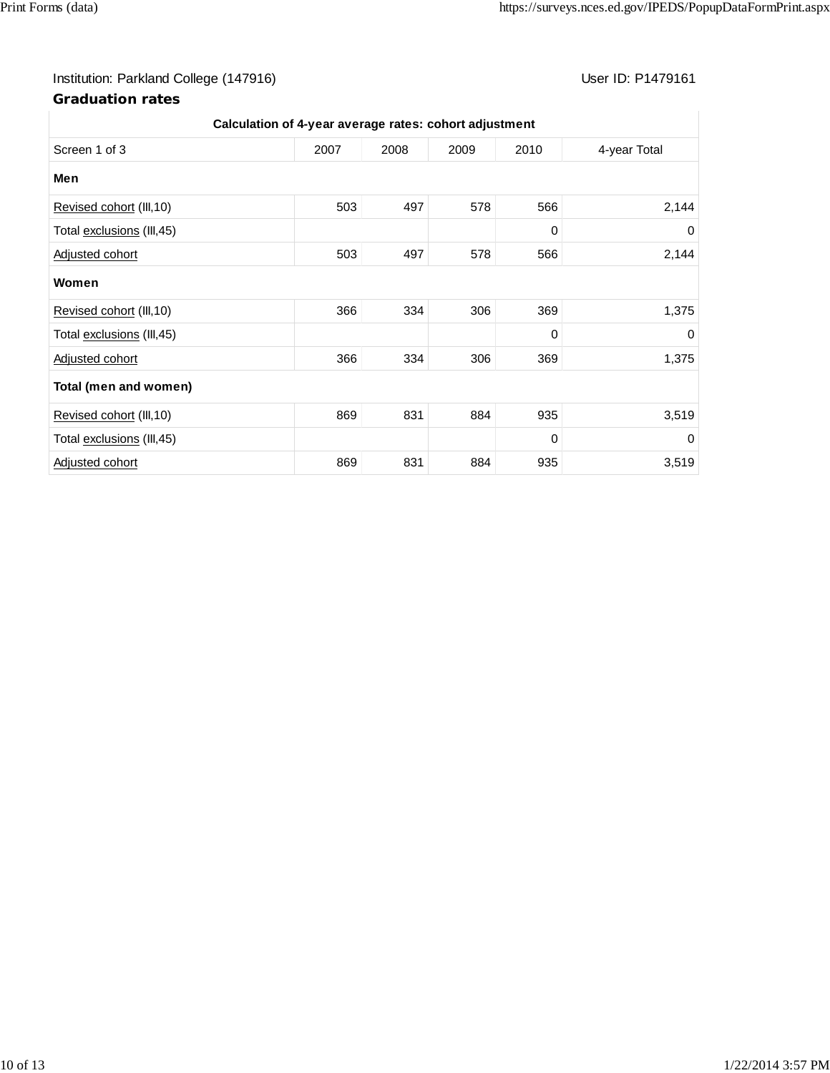# Institution: Parkland College (147916) **Institution: Parkland College (147916)** Conservation: P1479161

| Calculation of 4-year average rates: cohort adjustment |      |      |      |      |              |  |  |  |
|--------------------------------------------------------|------|------|------|------|--------------|--|--|--|
| Screen 1 of 3                                          | 2007 | 2008 | 2009 | 2010 | 4-year Total |  |  |  |
| Men                                                    |      |      |      |      |              |  |  |  |
| Revised cohort (III, 10)                               | 503  | 497  | 578  | 566  | 2,144        |  |  |  |
| Total exclusions (III, 45)                             |      |      |      | 0    | 0            |  |  |  |
| Adjusted cohort                                        | 503  | 497  | 578  | 566  | 2,144        |  |  |  |
| Women                                                  |      |      |      |      |              |  |  |  |
| Revised cohort (III, 10)                               | 366  | 334  | 306  | 369  | 1,375        |  |  |  |
| Total exclusions (III, 45)                             |      |      |      | 0    | 0            |  |  |  |
| Adjusted cohort                                        | 366  | 334  | 306  | 369  | 1,375        |  |  |  |
| Total (men and women)                                  |      |      |      |      |              |  |  |  |
| Revised cohort (III, 10)                               | 869  | 831  | 884  | 935  | 3,519        |  |  |  |
| Total exclusions (III, 45)                             |      |      |      | 0    | 0            |  |  |  |
| Adjusted cohort                                        | 869  | 831  | 884  | 935  | 3,519        |  |  |  |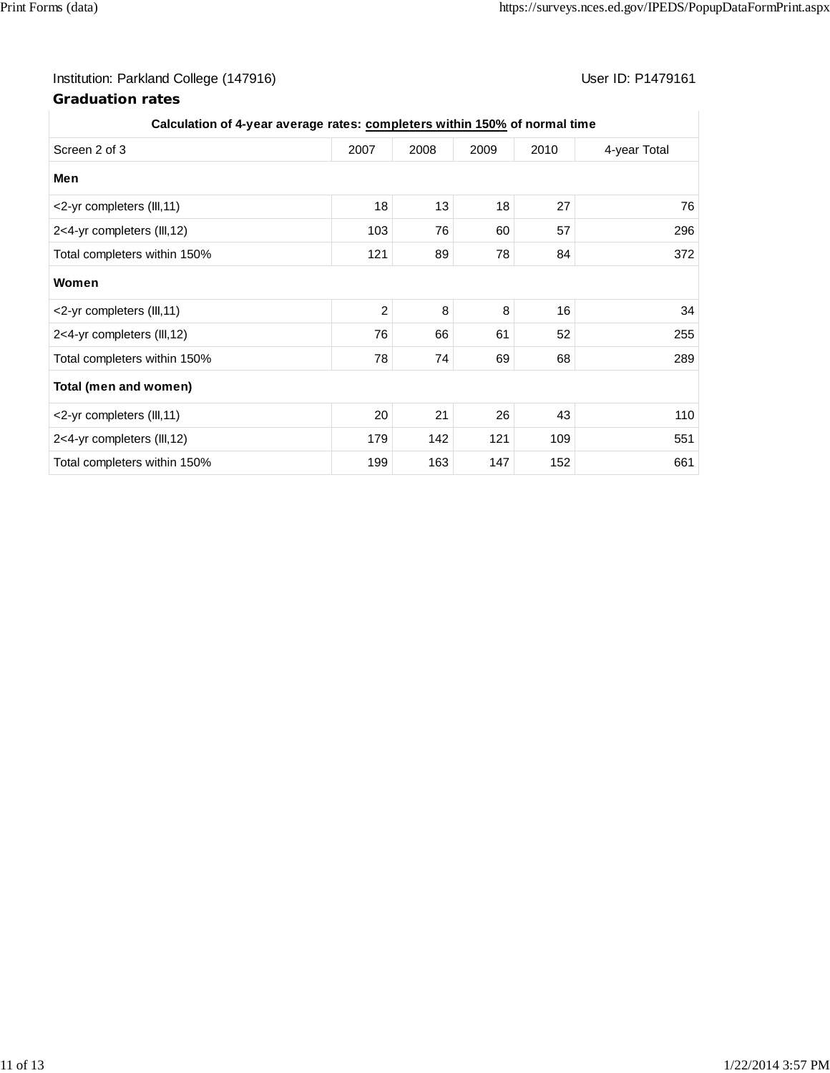# Institution: Parkland College (147916) **Institution: Parkland College (147916)** Conservation: P1479161

| Calculation of 4-year average rates: completers within 150% of normal time |                |      |      |      |              |  |  |
|----------------------------------------------------------------------------|----------------|------|------|------|--------------|--|--|
| Screen 2 of 3                                                              | 2007           | 2008 | 2009 | 2010 | 4-year Total |  |  |
| Men                                                                        |                |      |      |      |              |  |  |
| <2-yr completers (III,11)                                                  | 18             | 13   | 18   | 27   | 76           |  |  |
| 2<4-yr completers (III,12)                                                 | 103            | 76   | 60   | 57   | 296          |  |  |
| Total completers within 150%                                               | 121            | 89   | 78   | 84   | 372          |  |  |
| Women                                                                      |                |      |      |      |              |  |  |
| <2-yr completers (III,11)                                                  | $\overline{2}$ | 8    | 8    | 16   | 34           |  |  |
| 2<4-yr completers (III,12)                                                 | 76             | 66   | 61   | 52   | 255          |  |  |
| Total completers within 150%                                               | 78             | 74   | 69   | 68   | 289          |  |  |
| Total (men and women)                                                      |                |      |      |      |              |  |  |
| <2-yr completers (III,11)                                                  | 20             | 21   | 26   | 43   | 110          |  |  |
| 2<4-yr completers (III,12)                                                 | 179            | 142  | 121  | 109  | 551          |  |  |
| Total completers within 150%                                               | 199            | 163  | 147  | 152  | 661          |  |  |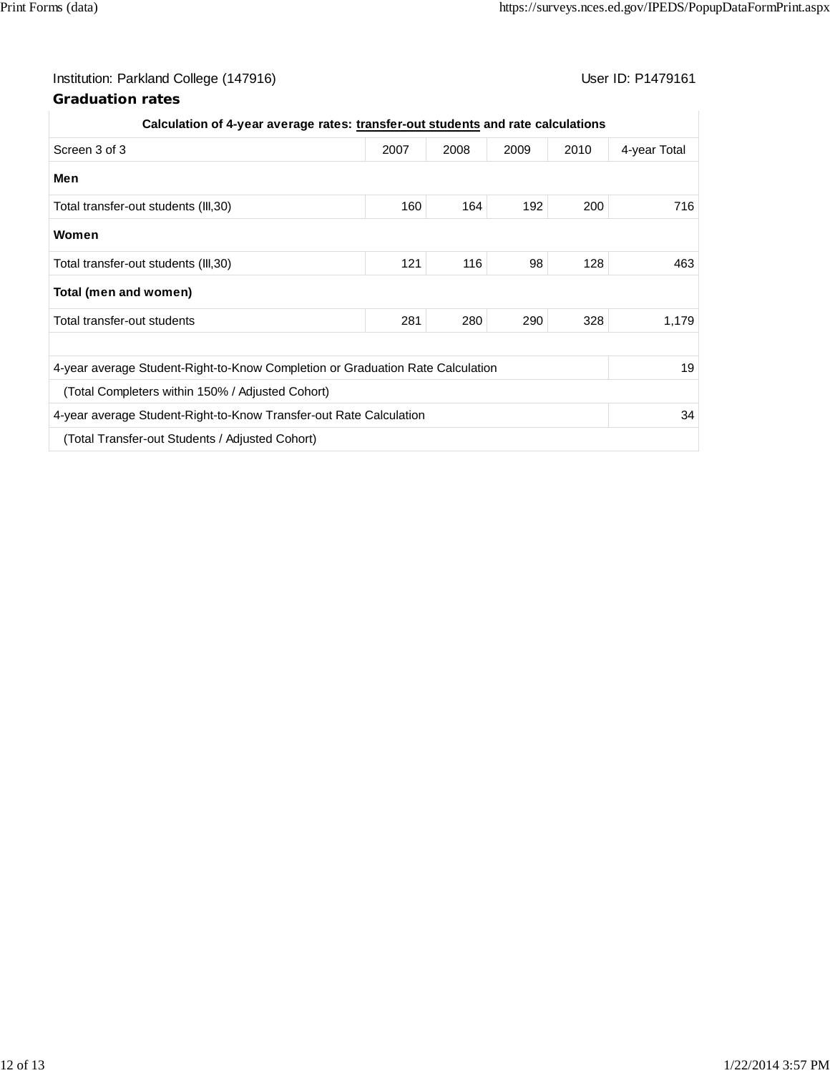# Institution: Parkland College (147916) **Institution: Parkland College (147916)** Conservation: P1479161

| Calculation of 4-year average rates: transfer-out students and rate calculations |      |      |      |      |              |  |
|----------------------------------------------------------------------------------|------|------|------|------|--------------|--|
| Screen 3 of 3                                                                    | 2007 | 2008 | 2009 | 2010 | 4-year Total |  |
| Men                                                                              |      |      |      |      |              |  |
| Total transfer-out students (III, 30)                                            | 160  | 164  | 192  | 200  | 716          |  |
| Women                                                                            |      |      |      |      |              |  |
| Total transfer-out students (III,30)                                             | 121  | 116  | 98   | 128  | 463          |  |
| Total (men and women)                                                            |      |      |      |      |              |  |
| Total transfer-out students                                                      | 281  | 280  | 290  | 328  | 1,179        |  |
|                                                                                  |      |      |      |      |              |  |
| 4-year average Student-Right-to-Know Completion or Graduation Rate Calculation   |      |      |      |      | 19           |  |
| (Total Completers within 150% / Adjusted Cohort)                                 |      |      |      |      |              |  |
| 4-year average Student-Right-to-Know Transfer-out Rate Calculation               |      |      |      |      | 34           |  |
| (Total Transfer-out Students / Adjusted Cohort)                                  |      |      |      |      |              |  |